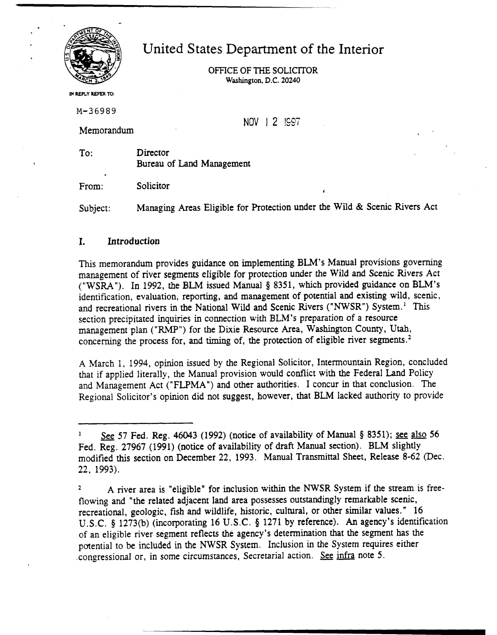

United States Department of the Interior

OFFICE **OFTHE**SOLICITOR **Washington.** D.C. **20240** 

**M REPLY REFER TO:** 

**M-36989** 

Memorandum

NOV | 2 | ISST

To: Director Bureau of Land Management

From: Solicitor

Subject: Managing Areas Eligible for Protection under the Wild & Scenic Rivers Act

## **I. Introduction**

This memorandum provides guidance on implementing BLM's Manual provisions governing management of river segments eligible for protection under the Wild and Scenic Rivers Act ("WSRA"). In 1992, the BLM issued Manual \$ 8351, which provided guidance on BLM's identification, evaluation, reporting, and management of potential and existing wild, scenic, and recreational rivers in the National Wild and Scenic Rivers ("NWSR") System.<sup>1</sup> This section precipitated inquiries in connection with BLM's preparation of a resource management plan ("RMP") for the Dixie Resource Area, Washington County, Utah, concerning the process for, and timing of, the protection of eligible river segments. $2$ 

A March 1, 1994, opinion issued by the Regional Solicitor, Intermountain Region, concluded that if applied literally, the Manual provision would conflict with the Federal Land Policy and Management Act **("FLPMA")**and other authorities. I concur in that conclusion. The Regional Solicitor's opinion did not suggest, however, that BLM lacked authority to provide

See 57 Fed. Reg. 46043 (1992) (notice of availability of Manual § 8351); see also 56 Fed. &.27967 (1991) (notice of availability of draft Manual section). **BLM** slightly modified this section on December 22, 1993. Manual Transmittal Sheet, Release 8-62 (Dec. 22, 1993).

A river area is "eligible" for inclusion within the NWSR System if the stream is freeflowing and "the related adjacent land area possesses outstandingly remarkable scenic, recreational, geologic, fish and wildlife, historic, cultural, or other similar values." 16 U.S.C. **5** 1273(b) (incorporating 16 **U.S**.C. **5** 1271 by reference). An agency's identification of an eligible river segment reflects the agency's determination that the segment has the potential to be included in the NWSR System. Inclusion in the System requires either .congressional or, in some circumstances, Secretarial action. See infra note 5. **2**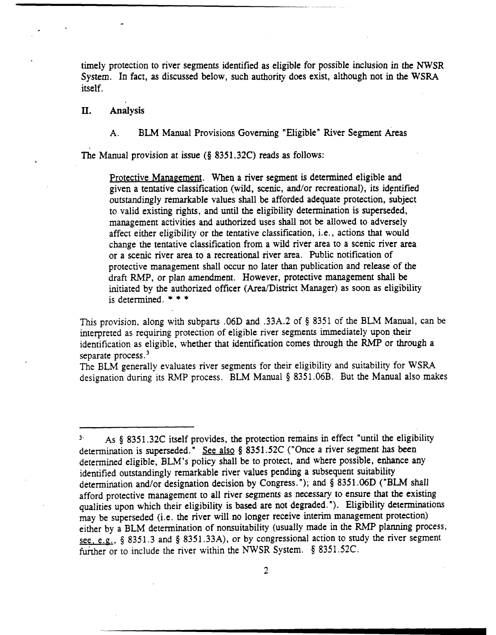timely protection to river segments identified as eligible for possible inclusion in the **NWSR**  System. In fact, **as** discussed below, such authority does exist, although not in the **WSRA**  itself.

**11. Analysis** 

A. **BLM Manual Provisions Governing "Eligible" River Segment Areas** 

The Manual provision at issue **(8** 8351.32C) reads as follows:

Protective Management. When a river segment is determined eligible and given a tentative classification (wild, scenic, and/or recreational), its identified outstandingly remarkable values shall be afforded adequate protection, subject to valid existing rights, and until the eligibility determination is superseded, management activities and authorized uses shall not be allowed to adversely affect either eligibility or the tentative classification, i.e., actions that would change the tentative classification from a wild river area to a scenic river area or a scenic river area to a recreational river area. Public notification of protective management shall occur no later than publication and release of the draft RMP, or plan amendment. However, protective management shall be initiated by the authorized officer (Area/District Manager) as soon as eligibility is determined.  $* * *$ 

This provision, along with subparts .06D and .33A.2 of 8351 of the BLM Manual, can be interpreted as requiring protection of eligible river segments immediately upon their identification as eligible, whether that identification comes through the RMP or through a separate process.<sup>3</sup>

The BLM generally evaluates river segments for their eligibility and suitability for WSRA designation during its RMP process. BLM Manual **5** 8351.06B. But the Manual also makes

**<sup>3&#</sup>x27;** As **Q** 8351.32C itself provides, the protection remains in effect "until the eligibility determination is superseded." See also **8** 8351.52C ("Once a river segment has been determined eligible, BLM's policy shall be to protect, and where possible, enhance any identified outstandingly remarkable river values pending a subsequent suitability determination and/or designation decision by Congress."); and § 8351.06D ("BLM shall afford protective management to all river segments as necessary to ensure that the existing qualities upon which their eligibility is based are not degraded. "). Eligibility determinations may be superseded (i.e. the river will no longer receive interim management protection) either by a BLM determination of nonsuitability (usually made in the RMP planning process, see, e.g., § 8351.3 and § 8351.33A), or by congressional action to study the river segment fufrher or to include the river within the NWSR System. **8 8351.52C.**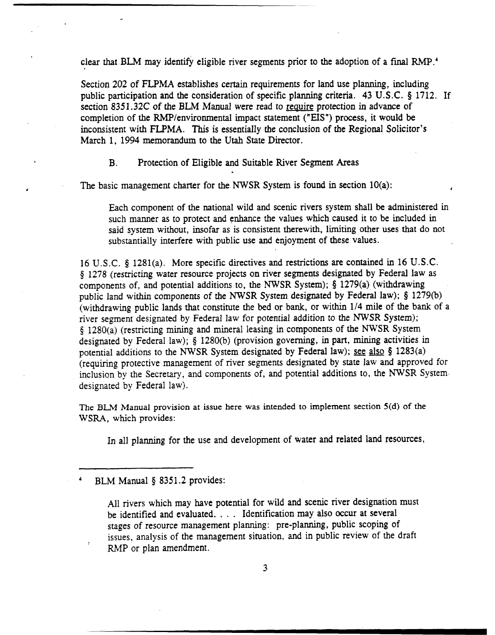clear that BLM may identify eligible river segments prior to the adoption of a final RMP.<sup>4</sup>

Section 202 of FLPMA establishes certain requirements for land use planning, including public participation and the consideration of specific planning criteria. 43 U.S.C. **5** 1712. If section 8351.32C of the BLM Manual were read to require protection in advance of completion of the RMP/environmental impact statement ("EIS") process, it would be inconsistent with FLPMA. This is essentially the conclusion of the Regional Solicitor's March 1, 1994 memorandum to the **Utah** State Director.

B. Protection of Eligible and Suitable River Segment Areas

The basic management charter for the NWSR System is found in section  $10(a)$ :

Each component of the national wild and scenic rivers system shall be administered in such manner as to protect and enhance the values which caused it to be included in said system without, insofar as is consistent therewith, limiting other uses that do not substantially interfere with public use and enjoyment of these values.

16 U .S.C. **5** 1281(a). More specific directives and restrictions are contained in 16 U.S.C. **9** 1278 (resmcting water resource projects on river segments designated by Federal law as components of, and potential additions to, the NWSR System); **5** 1279(a) (withdrawing public land within components of the NWSR System designated by Federal law); \$ 1279(b) (withdrawing public lands that constitute the bed or bank, or within 114 mile of the bank of a river segment designated by Federal law for potential addition to the NWSR System); **5** 1280(a) (restricting mining and mineral leasing in components of the NWSR System designated by Federal law); **5** 1280(b) (provision governing, in part, mining activities in potential additions to the NWSR System designated by Federal law); see also **5** 1283(a) (requiring protective management of river segments designated by state law and approved for inclusion by the Secretary, and components of, and potential additions to, the NWSR System designated by Federal law).

The **BLM Manual provision at issue here was intended to implement section 5(d) of the WSRA, which** provides:

In all planning for the use and development of water and related land resources,

BLM Manual § 8351.2 provides:

All rivers which may have potential for wild and scenic river designation must be identified and evaluated. . . . Identification may also occur at several stages of resource management planning: pre-planning, public scoping of issues, analysis of the management situation. and in public review of the draft RMP or plan amendment.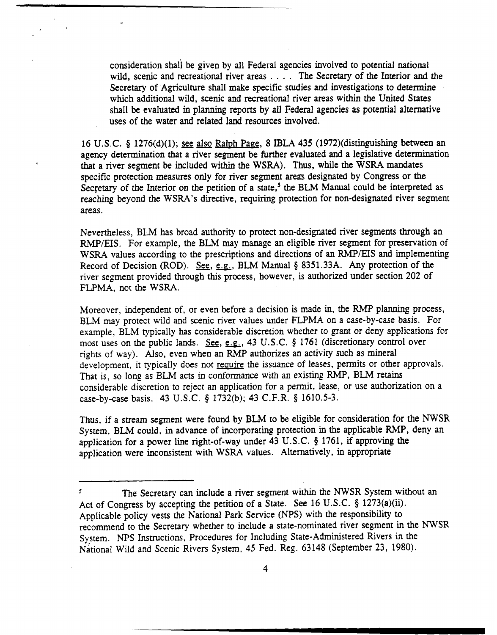consideration shall be given by all Federal agencies involved to potential national wild, scenic and recreational river areas . . . . The Secretary of the Interior and the Secretary of Agriculture shall make specific studies and investigations to determine which additional wild, scenic and recreational river areas within the United States shall be evaluated in planning reports by all Federal agencies as potential alternative uses of the water and related land resources involved.

16 U.S.C. **5** 1276(d)(l); see also Raluh Paee, 8 **IBLA** 435 (1972)(distinguishing between an agency determination that a river segment be further evaluated and a legislative determination that a river segment be included **within** the WSRA). **Thus,** while the WSRA mandates specific protection measures only for river segment **areas** designated by Congress or the Secretary of the Interior on the petition of a state,<sup>5</sup> the BLM Manual could be interpreted as reaching beyond the WSRA's directive, requiring protection for non-designated river segment areas.

Nevertheless, BLM has broad authority to protect non-designated river segments through an RMP/EIS. For example, the BLM may manage an eligible river segment for preservation of WSRA values according to the prescriptions and directions of an RMP/EIS and implementing Record of Decision (ROD). See, e.g., BLM Manual § 8351.33A. Any protection of the river segment provided through this process, however, is authorized under section 202 of FLPMA, not the WSRA.

Moreover, independent of, or even before a decision is made in, the RMP planning process, BLM may protect wild and scenic river values under FLPMA on a case-by-case basis. For example, BLM typically has considerable discretion whether to grant or deny applications for most uses on the public lands. See, e.g., 43 U.S.C. § 1761 (discretionary control over rights of way). Also, even when an RMP authorizes an activity such as mineral development, it typically does not require the issuance of leases, permits or other approvals. That is, so long as BLM acts in conformance with an existing RMP, BLM retains considerable discretion to reject an application for a permit, lease, or use authorization on a case-by-case basis. 43 U.S.C. **8** 1732(b); 43 **C.F.R.8** 1610.5-3.

**Thus,** if a stream segment were found by **BLM** to be eligible for consideration for the NWSR System, **BLM** could, in advance of incorporating protection in the applicable **RMP,** deny an application for a power line right-of-way under 43 U.S.C. **5** 1761, if approving the application were inconsistent with WSRA values. Alternatively, in appropriate

The Secretary can include a river segment within the NWSR System without an Act of Congress by accepting **the** petition of a State. See 16 U.S.C. **5** 1273(a)(ii). Applicable policy vests the National Park Service (NPS) with the responsibility to recommend to the Secretary whether to include a state-nominated river segment in the NWSR System. NPS instructions, Procedures for Including State-Administered Rivers in the National Wild and Scenic Rivers System, 45 Fed. Reg. 63148 (September 23, 1980). **5**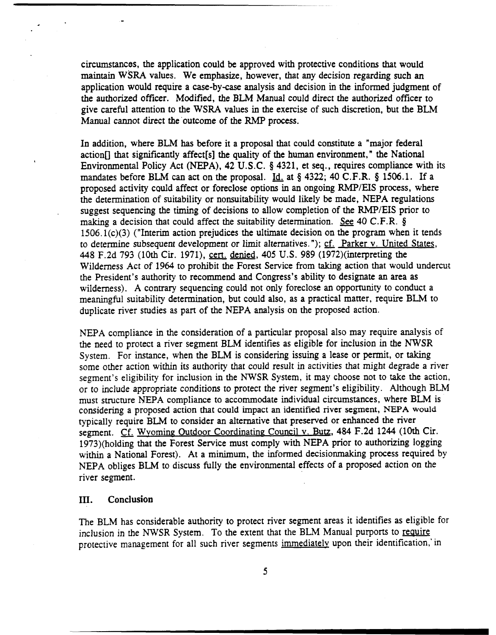circumstances, the application could be approved with protective conditions that would maintain **WSRA** values. We emphasize, however, that any decision regarding such an application would require a case-by-case analysis and decision in the informed judgment of the authorized offrcer. Modified, the **BLM** Manual could direct the authorized officer to give careful attention to the WSRA values in the exercise of such discretion, but the BLM Manual cannot direct the outcome of the **RMP** process.

In addition, where BLM **has** before it a proposal that could constitute a "major federal action<sup>[]</sup> that significantly affect [s] the quality of the human environment," the National Environmental Policy Act (NEPA), 42 **U.S.C.5** 4321, et seq., requires compliance with its mandates before BLM can act on the proposal. Id. at § 4322; 40 C.F.R. § 1506.1. If a proposed activity could affect or foreclose options in an ongoing RMP/EIS process, where the determination of suitability or nonsuitability would likely **be** made, NEPA regulations suggest sequencing the timing of decisions to allow completion of the RMP/EIS prior to making a decision that could affect the suitability determination. See 40 C.F.R. §  $1506.1(c)(3)$  ("Interim action prejudices the ultimate decision on the program when it tends to determine subsequent development or limit alternatives. "); cf. Parker v. United States, 448 F.2d 793 (10th Cir. 1971), cen. denied, 405 U.S. 989 (1972)(interpreting the Wilderness Act of 1964 to prohibit the Forest Service from taking action that would undercut the President's authority to recommend and Congress's ability to designate an area as wilderness). A contrary sequencing could not only foreclose an opportunity to conduct a meaningful suitability determination, but could also, as a practical matter, require **BLM** to duplicate river studies as part of the NEPA analysis on the proposed action.

NEPA compliance in the consideration of a particular proposal also may require analysis of the need to protect a river segment BLM identifies as eligible for inclusion in the NWSR System. For instance, when the BLM is considering issuing a lease or permit, or taking some other action within its authority that could result in activities that might degrade a river segment's eligibility for inclusion in the NWSR System, it may choose not to take the action, or to include appropriate conditions to protect the river segment's eligibility. Although **BLM**  must structure NEPA compliance to accommodate individual circumstances, where BLM is considering a proposed action that could impact an identified river segment, NEPA **would**  typically require BLM to consider an alternative that preserved or enhanced the river segment. Cf. Wyoming Outdoor Coordinating Council v. Butz, 484 F.2d 1244 (10th Cir. 1973)(holding that the Forest Service must comply with NEPA prior to authorizing logging within a National Forest). At a minimum, the informed decisionmaking process required by NEPA obliges BLM to discuss fully the environmental effects of a proposed action on the river segment.

## **III. Conclusion**

The **BLM** has considerable authority to protect river segment areas it identifies as eligible for inclusion in the NWSR System. To the extent that the BLM Manual purports to require protective management for all such river segments immediately upon their identification,' in

5